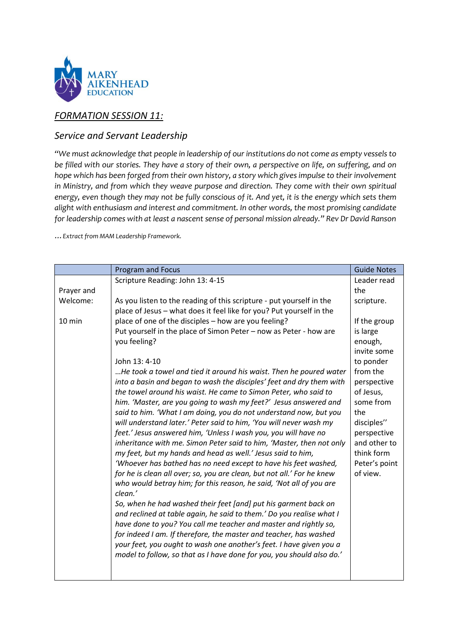

## *FORMATION SESSION 11:*

## *Service and Servant Leadership*

*"We must acknowledge that people in leadership of our institutions do not come as empty vessels to be filled with our stories. They have a story of their own, a perspective on life, on suffering, and on hope which has been forged from their own history, a story which gives impulse to their involvement in Ministry, and from which they weave purpose and direction. They come with their own spiritual energy, even though they may not be fully conscious of it. And yet, it is the energy which sets them alight with enthusiasm and interest and commitment. In other words, the most promising candidate for leadership comes with at least a nascent sense of personal mission already." Rev Dr David Ranson*

*…Extract from MAM Leadership Framework.* 

|                  | <b>Program and Focus</b>                                               | <b>Guide Notes</b> |
|------------------|------------------------------------------------------------------------|--------------------|
|                  | Scripture Reading: John 13: 4-15                                       | Leader read        |
| Prayer and       |                                                                        | the                |
| Welcome:         | As you listen to the reading of this scripture - put yourself in the   | scripture.         |
|                  | place of Jesus - what does it feel like for you? Put yourself in the   |                    |
| $10 \text{ min}$ | place of one of the disciples - how are you feeling?                   | If the group       |
|                  | Put yourself in the place of Simon Peter - now as Peter - how are      | is large           |
|                  | you feeling?                                                           | enough,            |
|                  |                                                                        | invite some        |
|                  | John 13: 4-10                                                          | to ponder          |
|                  | He took a towel and tied it around his waist. Then he poured water     | from the           |
|                  | into a basin and began to wash the disciples' feet and dry them with   | perspective        |
|                  | the towel around his waist. He came to Simon Peter, who said to        | of Jesus,          |
|                  | him. 'Master, are you going to wash my feet?' Jesus answered and       | some from          |
|                  | said to him. 'What I am doing, you do not understand now, but you      | the                |
|                  | will understand later.' Peter said to him, 'You will never wash my     | disciples"         |
|                  | feet.' Jesus answered him, 'Unless I wash you, you will have no        | perspective        |
|                  | inheritance with me. Simon Peter said to him, 'Master, then not only   | and other to       |
|                  | my feet, but my hands and head as well.' Jesus said to him,            | think form         |
|                  | 'Whoever has bathed has no need except to have his feet washed,        | Peter's point      |
|                  | for he is clean all over; so, you are clean, but not all.' For he knew | of view.           |
|                  | who would betray him; for this reason, he said, 'Not all of you are    |                    |
|                  | clean.'                                                                |                    |
|                  | So, when he had washed their feet [and] put his garment back on        |                    |
|                  | and reclined at table again, he said to them.' Do you realise what I   |                    |
|                  | have done to you? You call me teacher and master and rightly so,       |                    |
|                  | for indeed I am. If therefore, the master and teacher, has washed      |                    |
|                  | your feet, you ought to wash one another's feet. I have given you a    |                    |
|                  | model to follow, so that as I have done for you, you should also do.'  |                    |
|                  |                                                                        |                    |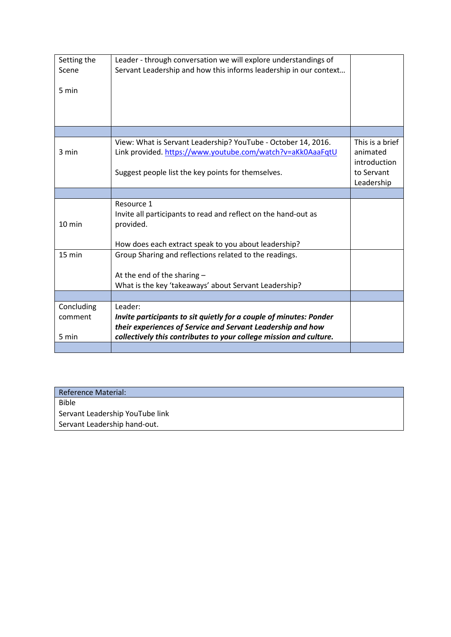| Setting the<br>Scene<br>5 min  | Leader - through conversation we will explore understandings of<br>Servant Leadership and how this informs leadership in our context                                                                               |                                             |
|--------------------------------|--------------------------------------------------------------------------------------------------------------------------------------------------------------------------------------------------------------------|---------------------------------------------|
|                                |                                                                                                                                                                                                                    |                                             |
| 3 min                          | View: What is Servant Leadership? YouTube - October 14, 2016.<br>Link provided. https://www.youtube.com/watch?v=aKk0AaaFqtU                                                                                        | This is a brief<br>animated<br>introduction |
|                                | Suggest people list the key points for themselves.                                                                                                                                                                 | to Servant<br>Leadership                    |
|                                |                                                                                                                                                                                                                    |                                             |
| 10 min                         | Resource 1<br>Invite all participants to read and reflect on the hand-out as<br>provided.<br>How does each extract speak to you about leadership?                                                                  |                                             |
| 15 min                         | Group Sharing and reflections related to the readings.                                                                                                                                                             |                                             |
|                                | At the end of the sharing $-$<br>What is the key 'takeaways' about Servant Leadership?                                                                                                                             |                                             |
|                                |                                                                                                                                                                                                                    |                                             |
| Concluding<br>comment<br>5 min | Leader:<br>Invite participants to sit quietly for a couple of minutes: Ponder<br>their experiences of Service and Servant Leadership and how<br>collectively this contributes to your college mission and culture. |                                             |
|                                |                                                                                                                                                                                                                    |                                             |

| Reference Material:             |  |  |
|---------------------------------|--|--|
| <b>Bible</b>                    |  |  |
| Servant Leadership YouTube link |  |  |
| Servant Leadership hand-out.    |  |  |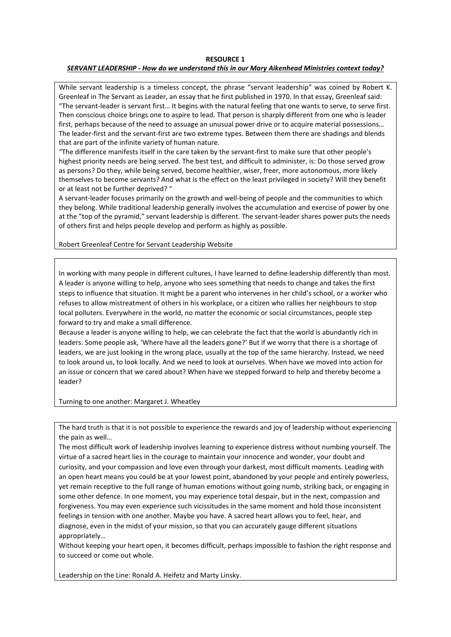## **RESOURCE 1**

## *SERVANT LEADERSHIP - How do we understand this in our Mary Aikenhead Ministries context today?*

While servant leadership is a timeless concept, the phrase "servant leadership" was coined by Robert K. Greenleaf in The Servant as Leader, an essay that he first published in 1970. In that essay, Greenleaf said: "The servant-leader is servant first… It begins with the natural feeling that one wants to serve, to serve first. Then conscious choice brings one to aspire to lead. That person is sharply different from one who is leader first, perhaps because of the need to assuage an unusual power drive or to acquire material possessions… The leader-first and the servant-first are two extreme types. Between them there are shadings and blends that are part of the infinite variety of human nature.

"The difference manifests itself in the care taken by the servant-first to make sure that other people's highest priority needs are being served. The best test, and difficult to administer, is: Do those served grow as persons? Do they, while being served, become healthier, wiser, freer, more autonomous, more likely themselves to become servants? And what is the effect on the least privileged in society? Will they benefit or at least not be further deprived? "

A servant-leader focuses primarily on the growth and well-being of people and the communities to which they belong. While traditional leadership generally involves the accumulation and exercise of power by one at the "top of the pyramid," servant leadership is different. The servant-leader shares power puts the needs of others first and helps people develop and perform as highly as possible.

Robert Greenleaf Centre for Servant Leadership Website

In working with many people in different cultures, I have learned to define leadership differently than most. A leader is anyone willing to help, anyone who sees something that needs to change and takes the first steps to influence that situation. It might be a parent who intervenes in her child's school, or a worker who refuses to allow mistreatment of others in his workplace, or a citizen who rallies her neighbours to stop local polluters. Everywhere in the world, no matter the economic or social circumstances, people step forward to try and make a small difference.

Because a leader is anyone willing to help, we can celebrate the fact that the world is abundantly rich in leaders. Some people ask, 'Where have all the leaders gone?' But if we worry that there is a shortage of leaders, we are just looking in the wrong place, usually at the top of the same hierarchy. Instead, we need to look around us, to look locally. And we need to look at ourselves. When have we moved into action for an issue or concern that we cared about? When have we stepped forward to help and thereby become a leader?

Turning to one another: Margaret J. Wheatley

The hard truth is that it is not possible to experience the rewards and joy of leadership without experiencing the pain as well…

The most difficult work of leadership involves learning to experience distress without numbing yourself. The virtue of a sacred heart lies in the courage to maintain your innocence and wonder, your doubt and curiosity, and your compassion and love even through your darkest, most difficult moments. Leading with an open heart means you could be at your lowest point, abandoned by your people and entirely powerless, yet remain receptive to the full range of human emotions without going numb, striking back, or engaging in some other defence. In one moment, you may experience total despair, but in the next, compassion and forgiveness. You may even experience such vicissitudes in the same moment and hold those inconsistent feelings in tension with one another. Maybe you have. A sacred heart allows you to feel, hear, and diagnose, even in the midst of your mission, so that you can accurately gauge different situations appropriately…

Without keeping your heart open, it becomes difficult, perhaps impossible to fashion the right response and to succeed or come out whole.

Leadership on the Line: Ronald A. Heifetz and Marty Linsky.